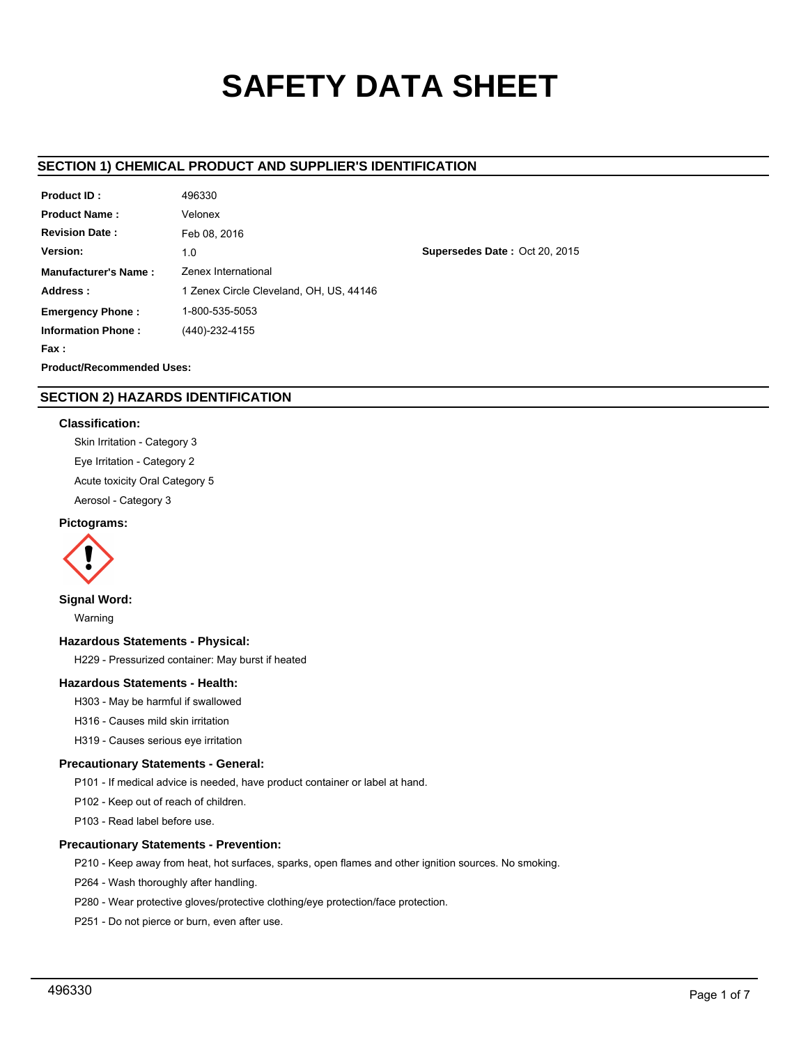# **SAFETY DATA SHEET**

# **SECTION 1) CHEMICAL PRODUCT AND SUPPLIER'S IDENTIFICATION**

| Product ID:                      | 496330                                  |  |  |  |
|----------------------------------|-----------------------------------------|--|--|--|
| <b>Product Name:</b>             | Velonex                                 |  |  |  |
| <b>Revision Date:</b>            | Feb 08, 2016                            |  |  |  |
| Version:                         | 1.0                                     |  |  |  |
| <b>Manufacturer's Name:</b>      | <b>Zenex International</b>              |  |  |  |
| Address:                         | 1 Zenex Circle Cleveland, OH, US, 44146 |  |  |  |
| <b>Emergency Phone:</b>          | 1-800-535-5053                          |  |  |  |
| <b>Information Phone:</b>        | (440)-232-4155                          |  |  |  |
| Fax :                            |                                         |  |  |  |
| <b>Product/Recommended Uses:</b> |                                         |  |  |  |

**Supersedes Date :** Oct 20, 2015

# **SECTION 2) HAZARDS IDENTIFICATION**

## **Classification:**

Skin Irritation - Category 3 Eye Irritation - Category 2 Acute toxicity Oral Category 5 Aerosol - Category 3

## **Pictograms:**



# **Signal Word:**

Warning

## **Hazardous Statements - Physical:**

H229 - Pressurized container: May burst if heated

# **Hazardous Statements - Health:**

H303 - May be harmful if swallowed

H316 - Causes mild skin irritation

H319 - Causes serious eye irritation

## **Precautionary Statements - General:**

P101 - If medical advice is needed, have product container or label at hand.

P102 - Keep out of reach of children.

P103 - Read label before use.

## **Precautionary Statements - Prevention:**

P210 - Keep away from heat, hot surfaces, sparks, open flames and other ignition sources. No smoking.

P264 - Wash thoroughly after handling.

P280 - Wear protective gloves/protective clothing/eye protection/face protection.

P251 - Do not pierce or burn, even after use.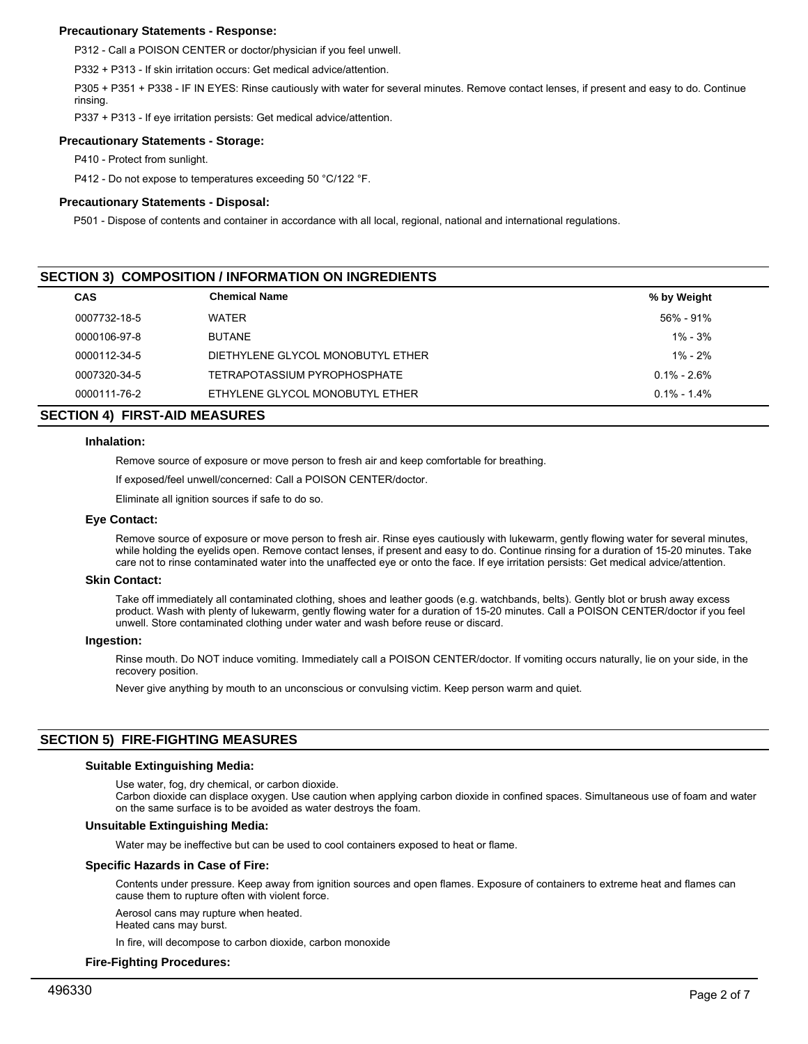## **Precautionary Statements - Response:**

P312 - Call a POISON CENTER or doctor/physician if you feel unwell.

P332 + P313 - If skin irritation occurs: Get medical advice/attention.

P305 + P351 + P338 - IF IN EYES: Rinse cautiously with water for several minutes. Remove contact lenses, if present and easy to do. Continue rinsing.

P337 + P313 - If eye irritation persists: Get medical advice/attention.

# **Precautionary Statements - Storage:**

P410 - Protect from sunlight.

P412 - Do not expose to temperatures exceeding 50 °C/122 °F.

# **Precautionary Statements - Disposal:**

P501 - Dispose of contents and container in accordance with all local, regional, national and international regulations.

# **SECTION 3) COMPOSITION / INFORMATION ON INGREDIENTS**

| <b>CAS</b>   | <b>Chemical Name</b>              | % by Weight     |  |
|--------------|-----------------------------------|-----------------|--|
| 0007732-18-5 | <b>WATER</b>                      | 56% - 91%       |  |
| 0000106-97-8 | <b>BUTANE</b>                     | $1\% - 3\%$     |  |
| 0000112-34-5 | DIETHYLENE GLYCOL MONOBUTYL ETHER | $1\% - 2\%$     |  |
| 0007320-34-5 | TETRAPOTASSIUM PYROPHOSPHATE      | $0.1\% - 2.6\%$ |  |
| 0000111-76-2 | ETHYLENE GLYCOL MONOBUTYL ETHER   | $0.1\% - 1.4\%$ |  |

# **SECTION 4) FIRST-AID MEASURES**

## **Inhalation:**

Remove source of exposure or move person to fresh air and keep comfortable for breathing.

If exposed/feel unwell/concerned: Call a POISON CENTER/doctor.

Eliminate all ignition sources if safe to do so.

#### **Eye Contact:**

Remove source of exposure or move person to fresh air. Rinse eyes cautiously with lukewarm, gently flowing water for several minutes, while holding the eyelids open. Remove contact lenses, if present and easy to do. Continue rinsing for a duration of 15-20 minutes. Take care not to rinse contaminated water into the unaffected eye or onto the face. If eye irritation persists: Get medical advice/attention.

## **Skin Contact:**

Take off immediately all contaminated clothing, shoes and leather goods (e.g. watchbands, belts). Gently blot or brush away excess product. Wash with plenty of lukewarm, gently flowing water for a duration of 15-20 minutes. Call a POISON CENTER/doctor if you feel unwell. Store contaminated clothing under water and wash before reuse or discard.

#### **Ingestion:**

Rinse mouth. Do NOT induce vomiting. Immediately call a POISON CENTER/doctor. If vomiting occurs naturally, lie on your side, in the recovery position.

Never give anything by mouth to an unconscious or convulsing victim. Keep person warm and quiet.

# **SECTION 5) FIRE-FIGHTING MEASURES**

## **Suitable Extinguishing Media:**

Use water, fog, dry chemical, or carbon dioxide.

Carbon dioxide can displace oxygen. Use caution when applying carbon dioxide in confined spaces. Simultaneous use of foam and water on the same surface is to be avoided as water destroys the foam.

## **Unsuitable Extinguishing Media:**

Water may be ineffective but can be used to cool containers exposed to heat or flame.

#### **Specific Hazards in Case of Fire:**

Contents under pressure. Keep away from ignition sources and open flames. Exposure of containers to extreme heat and flames can cause them to rupture often with violent force.

Aerosol cans may rupture when heated.

Heated cans may burst.

In fire, will decompose to carbon dioxide, carbon monoxide

## **Fire-Fighting Procedures:**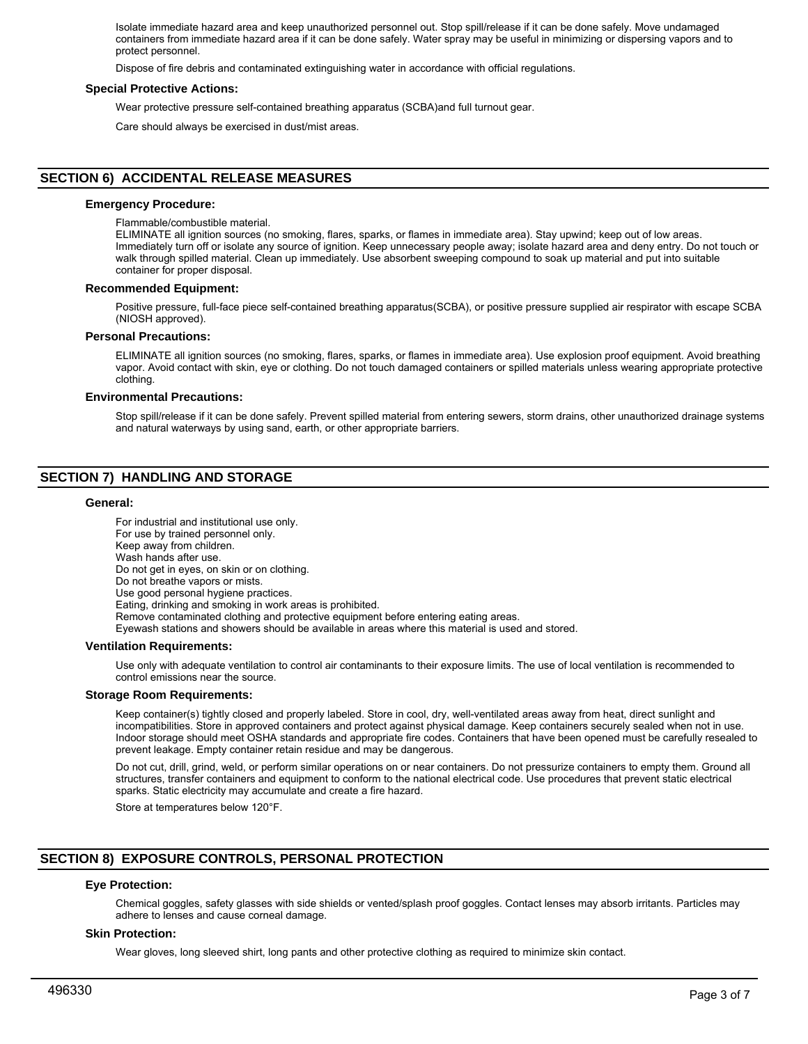Isolate immediate hazard area and keep unauthorized personnel out. Stop spill/release if it can be done safely. Move undamaged containers from immediate hazard area if it can be done safely. Water spray may be useful in minimizing or dispersing vapors and to protect personnel.

Dispose of fire debris and contaminated extinguishing water in accordance with official regulations.

#### **Special Protective Actions:**

Wear protective pressure self-contained breathing apparatus (SCBA)and full turnout gear.

Care should always be exercised in dust/mist areas.

# **SECTION 6) ACCIDENTAL RELEASE MEASURES**

#### **Emergency Procedure:**

Flammable/combustible material.

ELIMINATE all ignition sources (no smoking, flares, sparks, or flames in immediate area). Stay upwind; keep out of low areas. Immediately turn off or isolate any source of ignition. Keep unnecessary people away; isolate hazard area and deny entry. Do not touch or walk through spilled material. Clean up immediately. Use absorbent sweeping compound to soak up material and put into suitable container for proper disposal.

#### **Recommended Equipment:**

Positive pressure, full-face piece self-contained breathing apparatus(SCBA), or positive pressure supplied air respirator with escape SCBA (NIOSH approved).

#### **Personal Precautions:**

ELIMINATE all ignition sources (no smoking, flares, sparks, or flames in immediate area). Use explosion proof equipment. Avoid breathing vapor. Avoid contact with skin, eye or clothing. Do not touch damaged containers or spilled materials unless wearing appropriate protective clothing.

## **Environmental Precautions:**

Stop spill/release if it can be done safely. Prevent spilled material from entering sewers, storm drains, other unauthorized drainage systems and natural waterways by using sand, earth, or other appropriate barriers.

# **SECTION 7) HANDLING AND STORAGE**

#### **General:**

For industrial and institutional use only. For use by trained personnel only. Keep away from children. Wash hands after use. Do not get in eyes, on skin or on clothing. Do not breathe vapors or mists. Use good personal hygiene practices. Eating, drinking and smoking in work areas is prohibited. Remove contaminated clothing and protective equipment before entering eating areas. Eyewash stations and showers should be available in areas where this material is used and stored.

#### **Ventilation Requirements:**

Use only with adequate ventilation to control air contaminants to their exposure limits. The use of local ventilation is recommended to control emissions near the source.

#### **Storage Room Requirements:**

Keep container(s) tightly closed and properly labeled. Store in cool, dry, well-ventilated areas away from heat, direct sunlight and incompatibilities. Store in approved containers and protect against physical damage. Keep containers securely sealed when not in use. Indoor storage should meet OSHA standards and appropriate fire codes. Containers that have been opened must be carefully resealed to prevent leakage. Empty container retain residue and may be dangerous.

Do not cut, drill, grind, weld, or perform similar operations on or near containers. Do not pressurize containers to empty them. Ground all structures, transfer containers and equipment to conform to the national electrical code. Use procedures that prevent static electrical sparks. Static electricity may accumulate and create a fire hazard.

Store at temperatures below 120°F.

## **SECTION 8) EXPOSURE CONTROLS, PERSONAL PROTECTION**

## **Eye Protection:**

Chemical goggles, safety glasses with side shields or vented/splash proof goggles. Contact lenses may absorb irritants. Particles may adhere to lenses and cause corneal damage.

#### **Skin Protection:**

Wear gloves, long sleeved shirt, long pants and other protective clothing as required to minimize skin contact.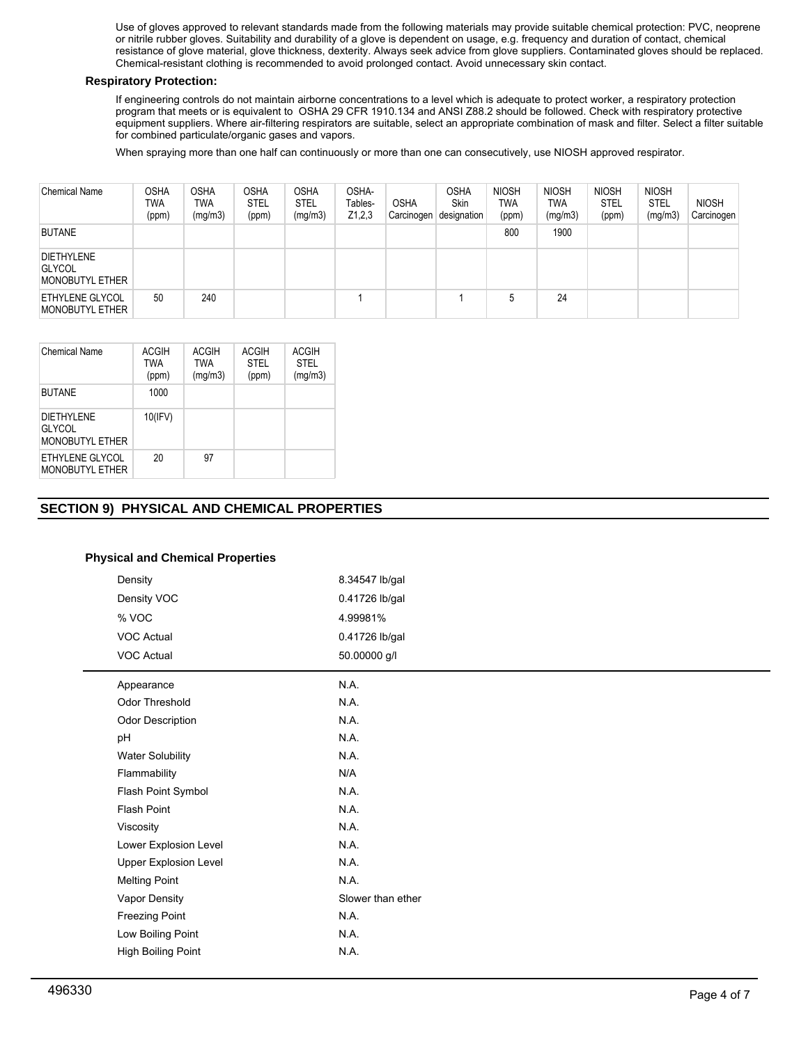Use of gloves approved to relevant standards made from the following materials may provide suitable chemical protection: PVC, neoprene or nitrile rubber gloves. Suitability and durability of a glove is dependent on usage, e.g. frequency and duration of contact, chemical resistance of glove material, glove thickness, dexterity. Always seek advice from glove suppliers. Contaminated gloves should be replaced. Chemical-resistant clothing is recommended to avoid prolonged contact. Avoid unnecessary skin contact.

## **Respiratory Protection:**

If engineering controls do not maintain airborne concentrations to a level which is adequate to protect worker, a respiratory protection program that meets or is equivalent to OSHA 29 CFR 1910.134 and ANSI Z88.2 should be followed. Check with respiratory protective equipment suppliers. Where air-filtering respirators are suitable, select an appropriate combination of mask and filter. Select a filter suitable for combined particulate/organic gases and vapors.

When spraying more than one half can continuously or more than one can consecutively, use NIOSH approved respirator.

| <b>Chemical Name</b>                                         | <b>OSHA</b><br>TWA<br>(ppm) | OSHA<br>TWA<br>(mg/m3) | <b>OSHA</b><br><b>STEL</b><br>(ppm) | <b>OSHA</b><br>STEL<br>(mg/m3) | OSHA-<br>Tables-<br>Z1,2,3 | <b>OSHA</b><br>Carcinogen | <b>OSHA</b><br>Skin<br>designation | <b>NIOSH</b><br><b>TWA</b><br>(ppm) | <b>NIOSH</b><br>TWA<br>(mg/m3) | <b>NIOSH</b><br><b>STEL</b><br>(ppm) | <b>NIOSH</b><br><b>STEL</b><br>(mg/m3) | <b>NIOSH</b><br>Carcinogen |
|--------------------------------------------------------------|-----------------------------|------------------------|-------------------------------------|--------------------------------|----------------------------|---------------------------|------------------------------------|-------------------------------------|--------------------------------|--------------------------------------|----------------------------------------|----------------------------|
| <b>BUTANE</b>                                                |                             |                        |                                     |                                |                            |                           |                                    | 800                                 | 1900                           |                                      |                                        |                            |
| <b>DIETHYLENE</b><br><b>GLYCOL</b><br><b>MONOBUTYL ETHER</b> |                             |                        |                                     |                                |                            |                           |                                    |                                     |                                |                                      |                                        |                            |
| ETHYLENE GLYCOL<br>MONOBUTYL ETHER                           | 50                          | 240                    |                                     |                                |                            |                           |                                    | b                                   | 24                             |                                      |                                        |                            |

| <b>Chemical Name</b>                                         | ACGIH<br><b>TWA</b><br>(ppm) | <b>ACGIH</b><br><b>TWA</b><br>(mg/m3) | <b>ACGIH</b><br><b>STEL</b><br>(ppm) | <b>ACGIH</b><br><b>STEL</b><br>(mg/m3) |
|--------------------------------------------------------------|------------------------------|---------------------------------------|--------------------------------------|----------------------------------------|
| <b>BUTANE</b>                                                | 1000                         |                                       |                                      |                                        |
| <b>DIETHYLENE</b><br><b>GLYCOL</b><br><b>MONOBUTYL ETHER</b> | 10(IFV)                      |                                       |                                      |                                        |
| ETHYLENE GLYCOL<br><b>MONOBUTYL ETHER</b>                    | 20                           | 97                                    |                                      |                                        |

# **SECTION 9) PHYSICAL AND CHEMICAL PROPERTIES**

# **Physical and Chemical Properties**

| Density                      | 8.34547 lb/gal    |
|------------------------------|-------------------|
| Density VOC                  | 0.41726 lb/gal    |
| % VOC                        | 4.99981%          |
| <b>VOC Actual</b>            | 0.41726 lb/gal    |
| VOC Actual                   | 50.00000 g/l      |
| Appearance                   | N.A.              |
| <b>Odor Threshold</b>        | N.A.              |
| Odor Description             | N.A.              |
| pH                           | N.A.              |
| <b>Water Solubility</b>      | N.A.              |
| Flammability                 | N/A               |
| Flash Point Symbol           | N.A.              |
| Flash Point                  | N.A.              |
| Viscosity                    | N.A.              |
| Lower Explosion Level        | N.A.              |
| <b>Upper Explosion Level</b> | N.A.              |
| <b>Melting Point</b>         | N.A.              |
| Vapor Density                | Slower than ether |
| <b>Freezing Point</b>        | N.A.              |
| Low Boiling Point            | N.A.              |
| <b>High Boiling Point</b>    | N.A.              |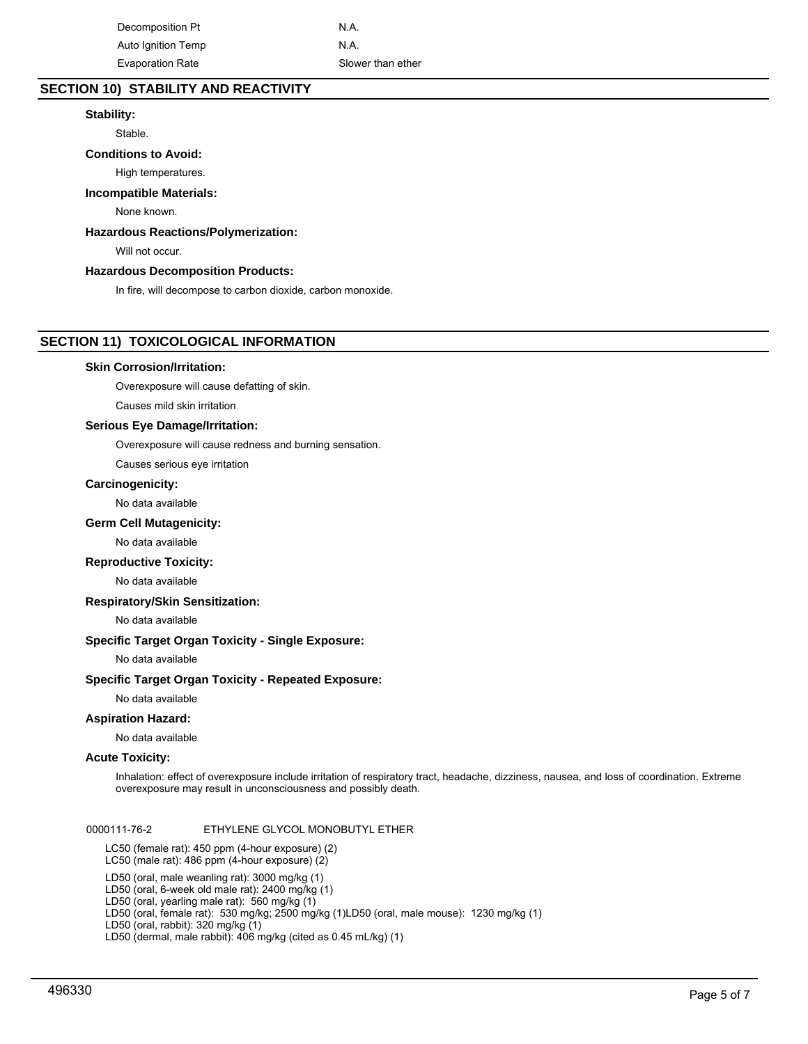Decomposition Pt N.A. Auto Ignition Temp N.A. Evaporation Rate Slower than ether

# **SECTION 10) STABILITY AND REACTIVITY**

## **Stability:**

Stable.

# **Conditions to Avoid:**

High temperatures.

#### **Incompatible Materials:**

None known.

## **Hazardous Reactions/Polymerization:**

Will not occur.

#### **Hazardous Decomposition Products:**

In fire, will decompose to carbon dioxide, carbon monoxide.

## **SECTION 11) TOXICOLOGICAL INFORMATION**

#### **Skin Corrosion/Irritation:**

Overexposure will cause defatting of skin.

Causes mild skin irritation

## **Serious Eye Damage/Irritation:**

Overexposure will cause redness and burning sensation.

Causes serious eye irritation

# **Carcinogenicity:**

No data available

#### **Germ Cell Mutagenicity:**

No data available

#### **Reproductive Toxicity:**

No data available

#### **Respiratory/Skin Sensitization:**

No data available

## **Specific Target Organ Toxicity - Single Exposure:**

No data available

## **Specific Target Organ Toxicity - Repeated Exposure:**

No data available

#### **Aspiration Hazard:**

No data available

#### **Acute Toxicity:**

Inhalation: effect of overexposure include irritation of respiratory tract, headache, dizziness, nausea, and loss of coordination. Extreme overexposure may result in unconsciousness and possibly death.

0000111-76-2 ETHYLENE GLYCOL MONOBUTYL ETHER

LC50 (female rat): 450 ppm (4-hour exposure) (2) LC50 (male rat): 486 ppm (4-hour exposure) (2)

LD50 (oral, male weanling rat): 3000 mg/kg (1)

- LD50 (oral, 6-week old male rat): 2400 mg/kg (1)
- LD50 (oral, yearling male rat): 560 mg/kg (1)

LD50 (oral, female rat): 530 mg/kg; 2500 mg/kg (1)LD50 (oral, male mouse): 1230 mg/kg (1)

LD50 (oral, rabbit): 320 mg/kg (1)

LD50 (dermal, male rabbit): 406 mg/kg (cited as 0.45 mL/kg) (1)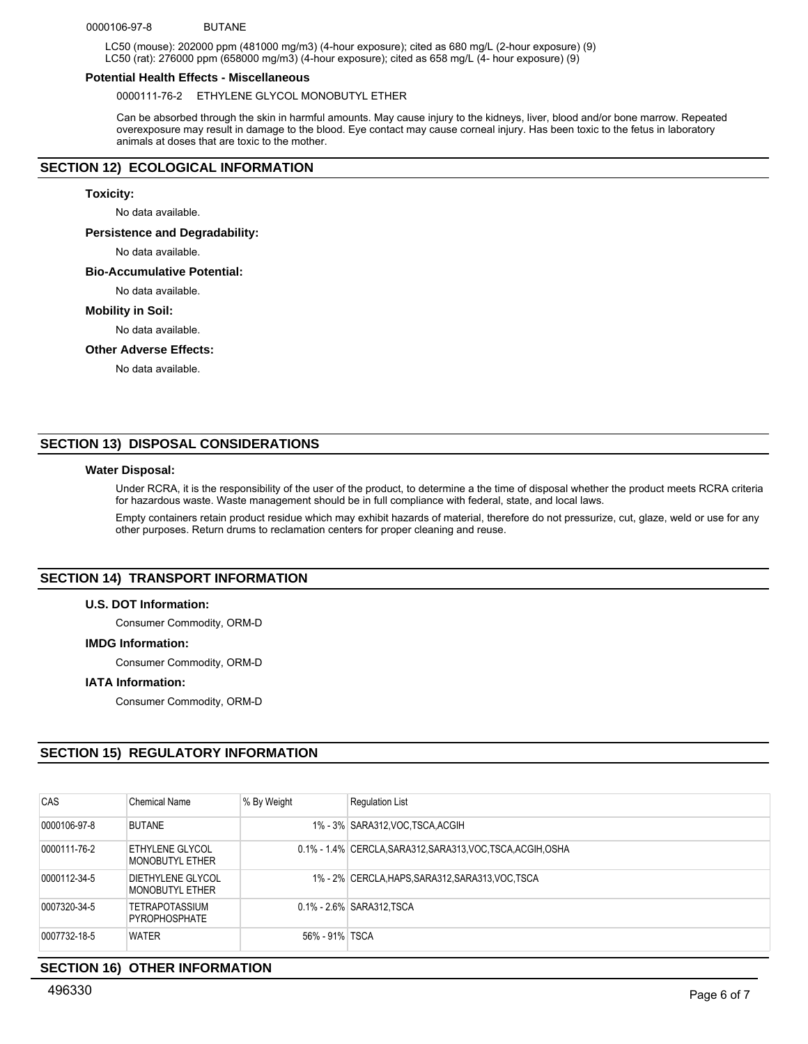#### 0000106-97-8 BUTANE

LC50 (mouse): 202000 ppm (481000 mg/m3) (4-hour exposure); cited as 680 mg/L (2-hour exposure) (9) LC50 (rat): 276000 ppm (658000 mg/m3) (4-hour exposure); cited as 658 mg/L (4- hour exposure) (9)

#### **Potential Health Effects - Miscellaneous**

0000111-76-2 ETHYLENE GLYCOL MONOBUTYL ETHER

Can be absorbed through the skin in harmful amounts. May cause injury to the kidneys, liver, blood and/or bone marrow. Repeated overexposure may result in damage to the blood. Eye contact may cause corneal injury. Has been toxic to the fetus in laboratory animals at doses that are toxic to the mother.

# **SECTION 12) ECOLOGICAL INFORMATION**

## **Toxicity:**

No data available.

## **Persistence and Degradability:**

No data available.

## **Bio-Accumulative Potential:**

No data available.

#### **Mobility in Soil:**

No data available.

#### **Other Adverse Effects:**

No data available.

## **SECTION 13) DISPOSAL CONSIDERATIONS**

## **Water Disposal:**

Under RCRA, it is the responsibility of the user of the product, to determine a the time of disposal whether the product meets RCRA criteria for hazardous waste. Waste management should be in full compliance with federal, state, and local laws.

Empty containers retain product residue which may exhibit hazards of material, therefore do not pressurize, cut, glaze, weld or use for any other purposes. Return drums to reclamation centers for proper cleaning and reuse.

# **SECTION 14) TRANSPORT INFORMATION**

#### **U.S. DOT Information:**

Consumer Commodity, ORM-D

## **IMDG Information:**

Consumer Commodity, ORM-D

#### **IATA Information:**

Consumer Commodity, ORM-D

## **SECTION 15) REGULATORY INFORMATION**

| <b>CAS</b>   | <b>Chemical Name</b>                 | % By Weight    | <b>Requlation List</b>                                       |
|--------------|--------------------------------------|----------------|--------------------------------------------------------------|
| 0000106-97-8 | <b>BUTANE</b>                        |                | 1% - 3% SARA312, VOC TSCA, ACGIH                             |
| 0000111-76-2 | ETHYLENE GLYCOL<br>MONOBUTYL ETHER   |                | 0.1% - 1.4% CERCLA, SARA312, SARA313, VOC, TSCA, ACGIH, OSHA |
| 0000112-34-5 | DIETHYLENE GLYCOL<br>MONOBUTYL ETHER |                | 1% - 2% CERCLA, HAPS, SARA312, SARA313, VOC, TSCA            |
| 0007320-34-5 | TETRAPOTASSIUM<br>PYROPHOSPHATE      |                | 0.1% - 2.6% SARA312.TSCA                                     |
| 0007732-18-5 | <b>WATER</b>                         | 56% - 91% TSCA |                                                              |

## **SECTION 16) OTHER INFORMATION**